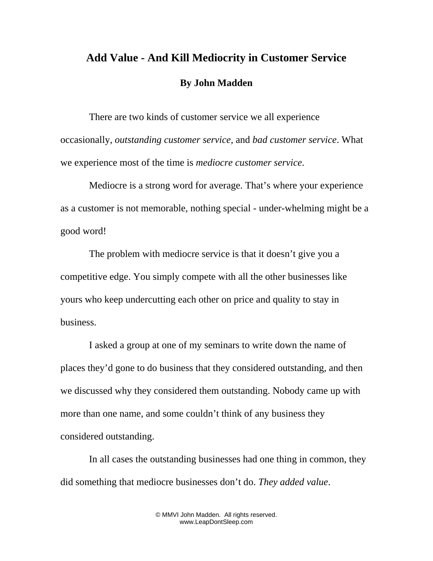## **Add Value - And Kill Mediocrity in Customer Service By John Madden**

There are two kinds of customer service we all experience occasionally, *outstanding customer service,* and *bad customer service*. What we experience most of the time is *mediocre customer service*.

Mediocre is a strong word for average. That's where your experience as a customer is not memorable, nothing special - under-whelming might be a good word!

The problem with mediocre service is that it doesn't give you a competitive edge. You simply compete with all the other businesses like yours who keep undercutting each other on price and quality to stay in business.

I asked a group at one of my seminars to write down the name of places they'd gone to do business that they considered outstanding, and then we discussed why they considered them outstanding. Nobody came up with more than one name, and some couldn't think of any business they considered outstanding.

In all cases the outstanding businesses had one thing in common, they did something that mediocre businesses don't do. *They added value*.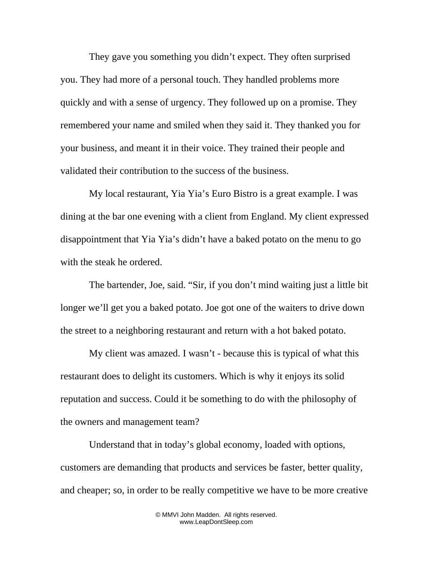They gave you something you didn't expect. They often surprised you. They had more of a personal touch. They handled problems more quickly and with a sense of urgency. They followed up on a promise. They remembered your name and smiled when they said it. They thanked you for your business, and meant it in their voice. They trained their people and validated their contribution to the success of the business.

My local restaurant, Yia Yia's Euro Bistro is a great example. I was dining at the bar one evening with a client from England. My client expressed disappointment that Yia Yia's didn't have a baked potato on the menu to go with the steak he ordered.

The bartender, Joe, said. "Sir, if you don't mind waiting just a little bit longer we'll get you a baked potato. Joe got one of the waiters to drive down the street to a neighboring restaurant and return with a hot baked potato.

My client was amazed. I wasn't - because this is typical of what this restaurant does to delight its customers. Which is why it enjoys its solid reputation and success. Could it be something to do with the philosophy of the owners and management team?

Understand that in today's global economy, loaded with options, customers are demanding that products and services be faster, better quality, and cheaper; so, in order to be really competitive we have to be more creative